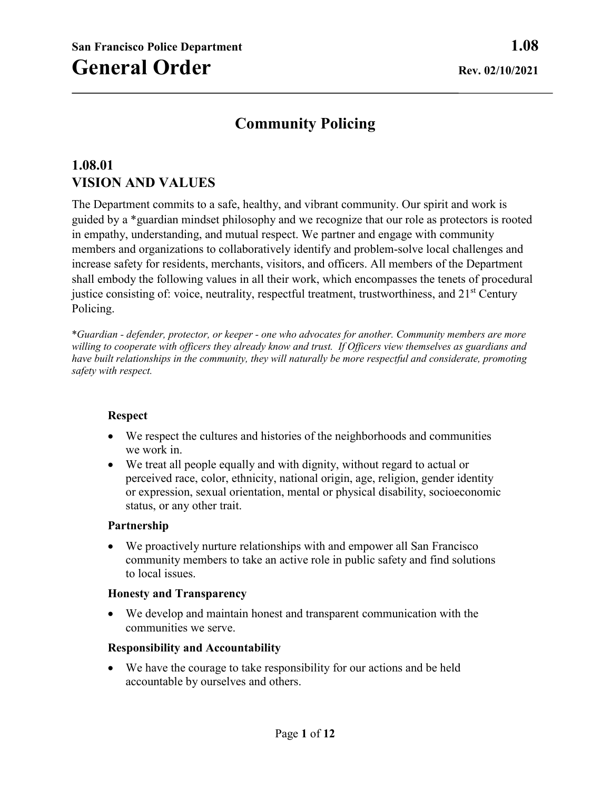# **Community Policing**

# **1.08.01 VISION AND VALUES**

The Department commits to a safe, healthy, and vibrant community. Our spirit and work is guided by a \*guardian mindset philosophy and we recognize that our role as protectors is rooted in empathy, understanding, and mutual respect. We partner and engage with community members and organizations to collaboratively identify and problem-solve local challenges and increase safety for residents, merchants, visitors, and officers. All members of the Department shall embody the following values in all their work, which encompasses the tenets of procedural justice consisting of: voice, neutrality, respectful treatment, trustworthiness, and 21<sup>st</sup> Century Policing.

\**Guardian - defender, protector, or keeper - one who advocates for another. Community members are more willing to cooperate with officers they already know and trust. If Officers view themselves as guardians and have built relationships in the community, they will naturally be more respectful and considerate, promoting safety with respect.* 

#### **Respect**

- We respect the cultures and histories of the neighborhoods and communities we work in.
- We treat all people equally and with dignity, without regard to actual or perceived race, color, ethnicity, national origin, age, religion, gender identity or expression, sexual orientation, mental or physical disability, socioeconomic status, or any other trait.

#### **Partnership**

• We proactively nurture relationships with and empower all San Francisco community members to take an active role in public safety and find solutions to local issues.

#### **Honesty and Transparency**

• We develop and maintain honest and transparent communication with the communities we serve.

#### **Responsibility and Accountability**

• We have the courage to take responsibility for our actions and be held accountable by ourselves and others.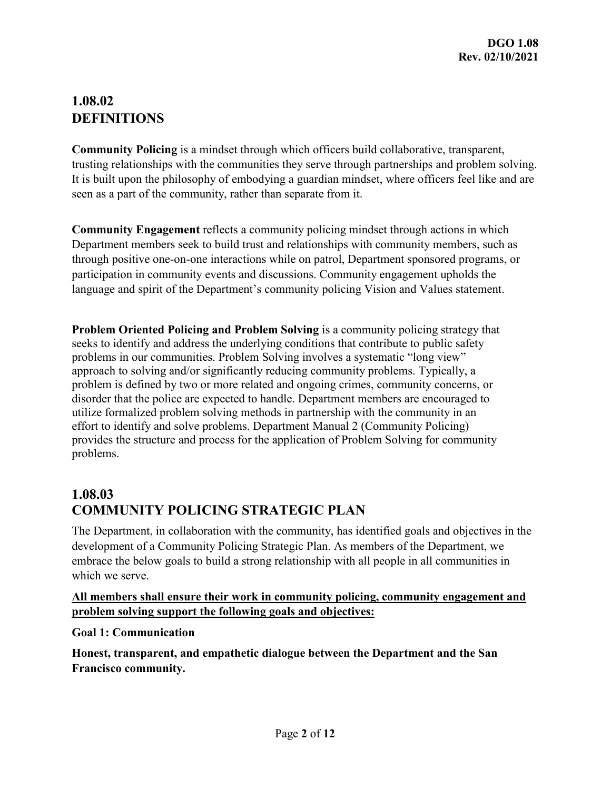# **1.08.02 DEFINITIONS**

**Community Policing** is a mindset through which officers build collaborative, transparent, trusting relationships with the communities they serve through partnerships and problem solving. It is built upon the philosophy of embodying a guardian mindset, where officers feel like and are seen as a part of the community, rather than separate from it.

**Community Engagement** reflects a community policing mindset through actions in which Department members seek to build trust and relationships with community members, such as through positive one-on-one interactions while on patrol, Department sponsored programs, or participation in community events and discussions. Community engagement upholds the language and spirit of the Department's community policing Vision and Values statement.

**Problem Oriented Policing and Problem Solving** is a community policing strategy that seeks to identify and address the underlying conditions that contribute to public safety problems in our communities. Problem Solving involves a systematic "long view" approach to solving and/or significantly reducing community problems. Typically, a problem is defined by two or more related and ongoing crimes, community concerns, or disorder that the police are expected to handle. Department members are encouraged to utilize formalized problem solving methods in partnership with the community in an effort to identify and solve problems. Department Manual 2 (Community Policing) provides the structure and process for the application of Problem Solving for community problems.

# **1.08.03 COMMUNITY POLICING STRATEGIC PLAN**

The Department, in collaboration with the community, has identified goals and objectives in the development of a Community Policing Strategic Plan. As members of the Department, we embrace the below goals to build a strong relationship with all people in all communities in which we serve.

### **All members shall ensure their work in community policing, community engagement and problem solving support the following goals and objectives:**

#### **Goal 1: Communication**

**Honest, transparent, and empathetic dialogue between the Department and the San Francisco community.**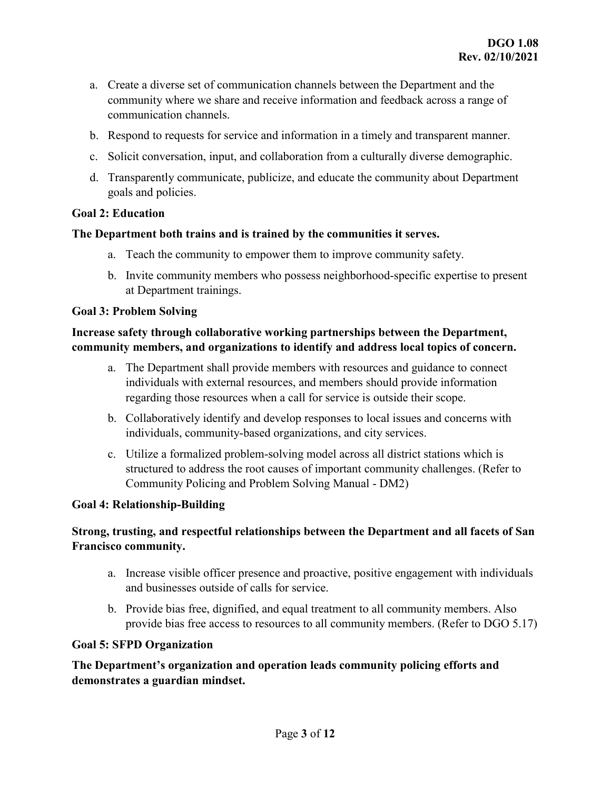- a. Create a diverse set of communication channels between the Department and the community where we share and receive information and feedback across a range of communication channels.
- b. Respond to requests for service and information in a timely and transparent manner.
- c. Solicit conversation, input, and collaboration from a culturally diverse demographic.
- d. Transparently communicate, publicize, and educate the community about Department goals and policies.

#### **Goal 2: Education**

#### **The Department both trains and is trained by the communities it serves.**

- a. Teach the community to empower them to improve community safety.
- b. Invite community members who possess neighborhood-specific expertise to present at Department trainings.

#### **Goal 3: Problem Solving**

## **Increase safety through collaborative working partnerships between the Department, community members, and organizations to identify and address local topics of concern.**

- a. The Department shall provide members with resources and guidance to connect individuals with external resources, and members should provide information regarding those resources when a call for service is outside their scope.
- b. Collaboratively identify and develop responses to local issues and concerns with individuals, community-based organizations, and city services.
- c. Utilize a formalized problem-solving model across all district stations which is structured to address the root causes of important community challenges. (Refer to Community Policing and Problem Solving Manual - DM2)

#### **Goal 4: Relationship-Building**

## **Strong, trusting, and respectful relationships between the Department and all facets of San Francisco community.**

- a. Increase visible officer presence and proactive, positive engagement with individuals and businesses outside of calls for service.
- b. Provide bias free, dignified, and equal treatment to all community members. Also provide bias free access to resources to all community members. (Refer to DGO 5.17)

#### **Goal 5: SFPD Organization**

**The Department's organization and operation leads community policing efforts and demonstrates a guardian mindset.**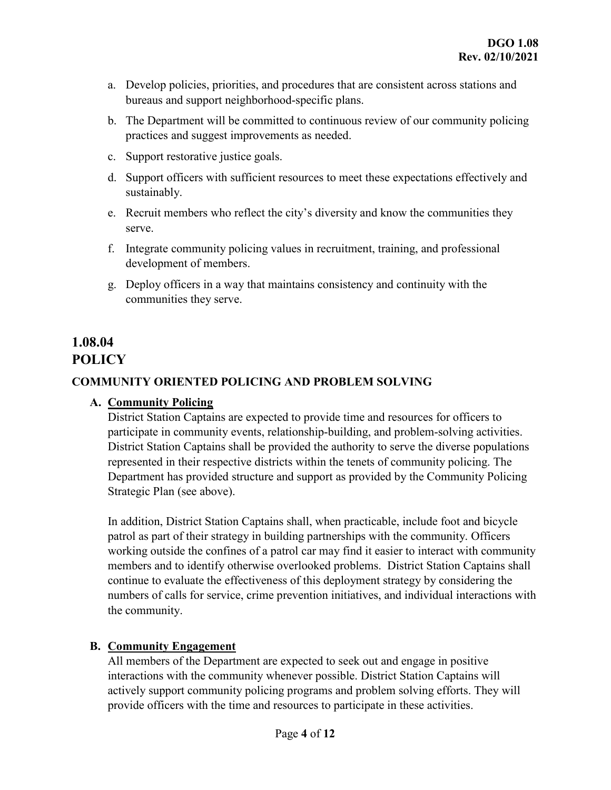- a. Develop policies, priorities, and procedures that are consistent across stations and bureaus and support neighborhood-specific plans.
- b. The Department will be committed to continuous review of our community policing practices and suggest improvements as needed.
- c. Support restorative justice goals.
- d. Support officers with sufficient resources to meet these expectations effectively and sustainably.
- e. Recruit members who reflect the city's diversity and know the communities they serve.
- f. Integrate community policing values in recruitment, training, and professional development of members.
- g. Deploy officers in a way that maintains consistency and continuity with the communities they serve.

## **1.08.04 POLICY**

## **COMMUNITY ORIENTED POLICING AND PROBLEM SOLVING**

## **A. Community Policing**

District Station Captains are expected to provide time and resources for officers to participate in community events, relationship-building, and problem-solving activities. District Station Captains shall be provided the authority to serve the diverse populations represented in their respective districts within the tenets of community policing. The Department has provided structure and support as provided by the Community Policing Strategic Plan (see above).

In addition, District Station Captains shall, when practicable, include foot and bicycle patrol as part of their strategy in building partnerships with the community. Officers working outside the confines of a patrol car may find it easier to interact with community members and to identify otherwise overlooked problems. District Station Captains shall continue to evaluate the effectiveness of this deployment strategy by considering the numbers of calls for service, crime prevention initiatives, and individual interactions with the community.

## **B. Community Engagement**

All members of the Department are expected to seek out and engage in positive interactions with the community whenever possible. District Station Captains will actively support community policing programs and problem solving efforts. They will provide officers with the time and resources to participate in these activities.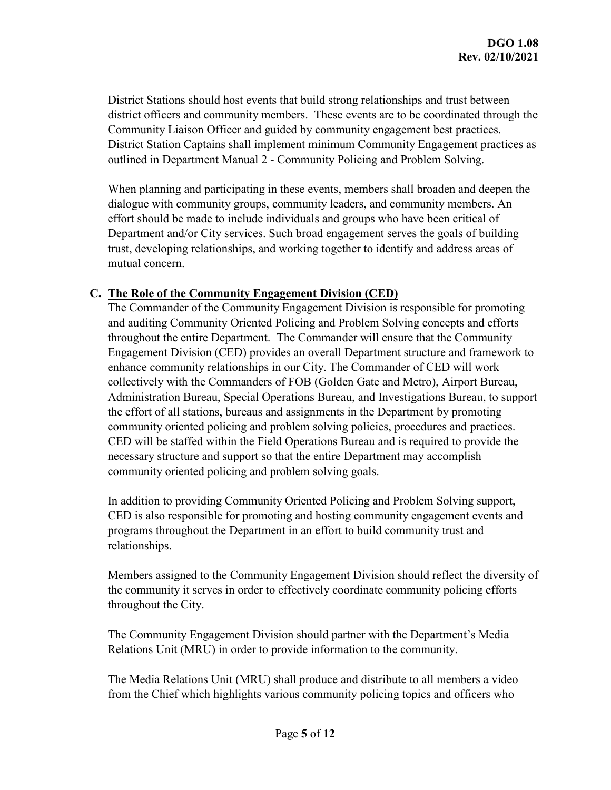District Stations should host events that build strong relationships and trust between district officers and community members. These events are to be coordinated through the Community Liaison Officer and guided by community engagement best practices. District Station Captains shall implement minimum Community Engagement practices as outlined in Department Manual 2 - Community Policing and Problem Solving.

When planning and participating in these events, members shall broaden and deepen the dialogue with community groups, community leaders, and community members. An effort should be made to include individuals and groups who have been critical of Department and/or City services. Such broad engagement serves the goals of building trust, developing relationships, and working together to identify and address areas of mutual concern.

#### **C. The Role of the Community Engagement Division (CED)**

The Commander of the Community Engagement Division is responsible for promoting and auditing Community Oriented Policing and Problem Solving concepts and efforts throughout the entire Department. The Commander will ensure that the Community Engagement Division (CED) provides an overall Department structure and framework to enhance community relationships in our City. The Commander of CED will work collectively with the Commanders of FOB (Golden Gate and Metro), Airport Bureau, Administration Bureau, Special Operations Bureau, and Investigations Bureau, to support the effort of all stations, bureaus and assignments in the Department by promoting community oriented policing and problem solving policies, procedures and practices. CED will be staffed within the Field Operations Bureau and is required to provide the necessary structure and support so that the entire Department may accomplish community oriented policing and problem solving goals.

In addition to providing Community Oriented Policing and Problem Solving support, CED is also responsible for promoting and hosting community engagement events and programs throughout the Department in an effort to build community trust and relationships.

Members assigned to the Community Engagement Division should reflect the diversity of the community it serves in order to effectively coordinate community policing efforts throughout the City.

The Community Engagement Division should partner with the Department's Media Relations Unit (MRU) in order to provide information to the community.

The Media Relations Unit (MRU) shall produce and distribute to all members a video from the Chief which highlights various community policing topics and officers who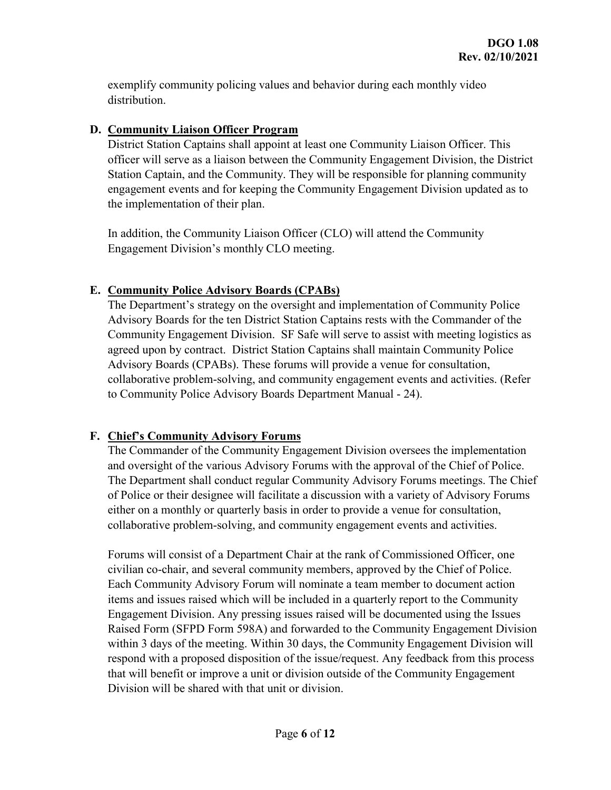exemplify community policing values and behavior during each monthly video distribution.

### **D. Community Liaison Officer Program**

District Station Captains shall appoint at least one Community Liaison Officer. This officer will serve as a liaison between the Community Engagement Division, the District Station Captain, and the Community. They will be responsible for planning community engagement events and for keeping the Community Engagement Division updated as to the implementation of their plan.

In addition, the Community Liaison Officer (CLO) will attend the Community Engagement Division's monthly CLO meeting.

## **E. Community Police Advisory Boards (CPABs)**

The Department's strategy on the oversight and implementation of Community Police Advisory Boards for the ten District Station Captains rests with the Commander of the Community Engagement Division. SF Safe will serve to assist with meeting logistics as agreed upon by contract. District Station Captains shall maintain Community Police Advisory Boards (CPABs). These forums will provide a venue for consultation, collaborative problem-solving, and community engagement events and activities. (Refer to Community Police Advisory Boards Department Manual - 24).

## **F. Chief's Community Advisory Forums**

The Commander of the Community Engagement Division oversees the implementation and oversight of the various Advisory Forums with the approval of the Chief of Police. The Department shall conduct regular Community Advisory Forums meetings. The Chief of Police or their designee will facilitate a discussion with a variety of Advisory Forums either on a monthly or quarterly basis in order to provide a venue for consultation, collaborative problem-solving, and community engagement events and activities.

Forums will consist of a Department Chair at the rank of Commissioned Officer, one civilian co-chair, and several community members, approved by the Chief of Police. Each Community Advisory Forum will nominate a team member to document action items and issues raised which will be included in a quarterly report to the Community Engagement Division. Any pressing issues raised will be documented using the Issues Raised Form (SFPD Form 598A) and forwarded to the Community Engagement Division within 3 days of the meeting. Within 30 days, the Community Engagement Division will respond with a proposed disposition of the issue/request. Any feedback from this process that will benefit or improve a unit or division outside of the Community Engagement Division will be shared with that unit or division.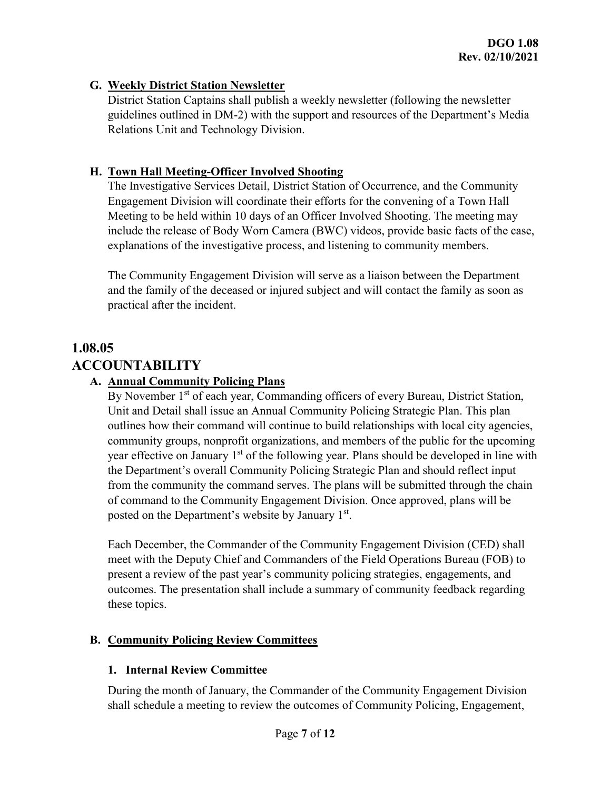### **G. Weekly District Station Newsletter**

District Station Captains shall publish a weekly newsletter (following the newsletter guidelines outlined in DM-2) with the support and resources of the Department's Media Relations Unit and Technology Division.

### **H. Town Hall Meeting-Officer Involved Shooting**

The Investigative Services Detail, District Station of Occurrence, and the Community Engagement Division will coordinate their efforts for the convening of a Town Hall Meeting to be held within 10 days of an Officer Involved Shooting. The meeting may include the release of Body Worn Camera (BWC) videos, provide basic facts of the case, explanations of the investigative process, and listening to community members.

The Community Engagement Division will serve as a liaison between the Department and the family of the deceased or injured subject and will contact the family as soon as practical after the incident.

# **1.08.05 ACCOUNTABILITY**

### **A. Annual Community Policing Plans**

By November 1<sup>st</sup> of each year, Commanding officers of every Bureau, District Station, Unit and Detail shall issue an Annual Community Policing Strategic Plan. This plan outlines how their command will continue to build relationships with local city agencies, community groups, nonprofit organizations, and members of the public for the upcoming year effective on January 1<sup>st</sup> of the following year. Plans should be developed in line with the Department's overall Community Policing Strategic Plan and should reflect input from the community the command serves. The plans will be submitted through the chain of command to the Community Engagement Division. Once approved, plans will be posted on the Department's website by January 1<sup>st</sup>.

Each December, the Commander of the Community Engagement Division (CED) shall meet with the Deputy Chief and Commanders of the Field Operations Bureau (FOB) to present a review of the past year's community policing strategies, engagements, and outcomes. The presentation shall include a summary of community feedback regarding these topics.

## **B. Community Policing Review Committees**

#### **1. Internal Review Committee**

During the month of January, the Commander of the Community Engagement Division shall schedule a meeting to review the outcomes of Community Policing, Engagement,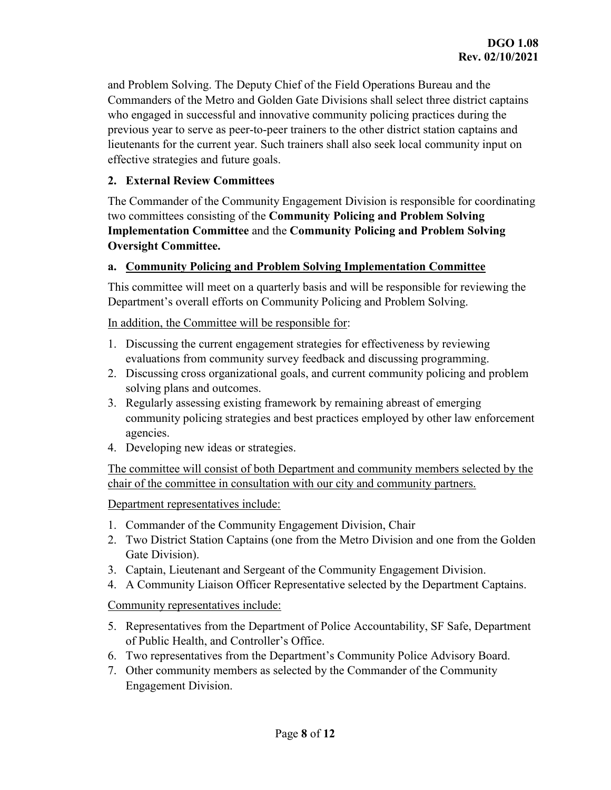and Problem Solving. The Deputy Chief of the Field Operations Bureau and the Commanders of the Metro and Golden Gate Divisions shall select three district captains who engaged in successful and innovative community policing practices during the previous year to serve as peer-to-peer trainers to the other district station captains and lieutenants for the current year. Such trainers shall also seek local community input on effective strategies and future goals.

#### **2. External Review Committees**

The Commander of the Community Engagement Division is responsible for coordinating two committees consisting of the **Community Policing and Problem Solving Implementation Committee** and the **Community Policing and Problem Solving Oversight Committee.**

#### **a. Community Policing and Problem Solving Implementation Committee**

This committee will meet on a quarterly basis and will be responsible for reviewing the Department's overall efforts on Community Policing and Problem Solving.

In addition, the Committee will be responsible for:

- 1. Discussing the current engagement strategies for effectiveness by reviewing evaluations from community survey feedback and discussing programming.
- 2. Discussing cross organizational goals, and current community policing and problem solving plans and outcomes.
- 3. Regularly assessing existing framework by remaining abreast of emerging community policing strategies and best practices employed by other law enforcement agencies.
- 4. Developing new ideas or strategies.

The committee will consist of both Department and community members selected by the chair of the committee in consultation with our city and community partners.

Department representatives include:

- 1. Commander of the Community Engagement Division, Chair
- 2. Two District Station Captains (one from the Metro Division and one from the Golden Gate Division).
- 3. Captain, Lieutenant and Sergeant of the Community Engagement Division.
- 4. A Community Liaison Officer Representative selected by the Department Captains.

Community representatives include:

- 5. Representatives from the Department of Police Accountability, SF Safe, Department of Public Health, and Controller's Office.
- 6. Two representatives from the Department's Community Police Advisory Board.
- 7. Other community members as selected by the Commander of the Community Engagement Division.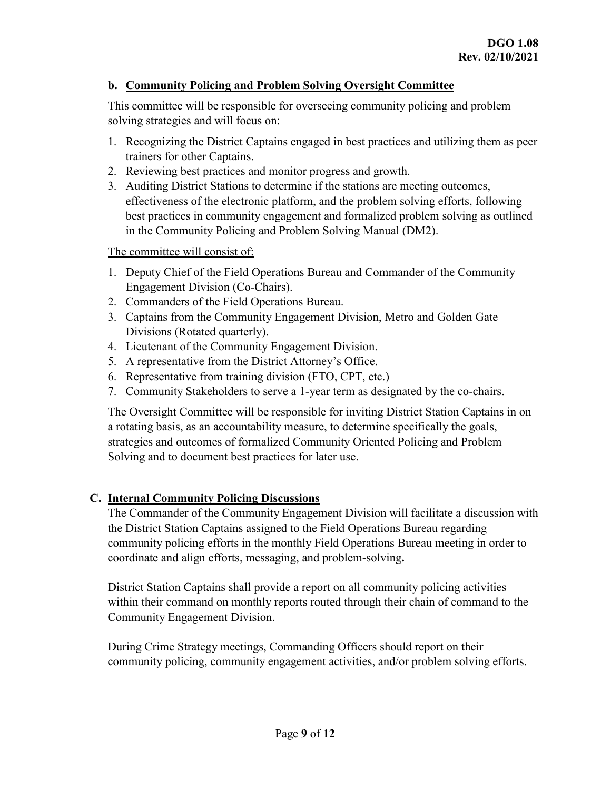#### **b. Community Policing and Problem Solving Oversight Committee**

This committee will be responsible for overseeing community policing and problem solving strategies and will focus on:

- 1. Recognizing the District Captains engaged in best practices and utilizing them as peer trainers for other Captains.
- 2. Reviewing best practices and monitor progress and growth.
- 3. Auditing District Stations to determine if the stations are meeting outcomes, effectiveness of the electronic platform, and the problem solving efforts, following best practices in community engagement and formalized problem solving as outlined in the Community Policing and Problem Solving Manual (DM2).

The committee will consist of:

- 1. Deputy Chief of the Field Operations Bureau and Commander of the Community Engagement Division (Co-Chairs).
- 2. Commanders of the Field Operations Bureau.
- 3. Captains from the Community Engagement Division, Metro and Golden Gate Divisions (Rotated quarterly).
- 4. Lieutenant of the Community Engagement Division.
- 5. A representative from the District Attorney's Office.
- 6. Representative from training division (FTO, CPT, etc.)
- 7. Community Stakeholders to serve a 1-year term as designated by the co-chairs.

The Oversight Committee will be responsible for inviting District Station Captains in on a rotating basis, as an accountability measure, to determine specifically the goals, strategies and outcomes of formalized Community Oriented Policing and Problem Solving and to document best practices for later use.

## **C. Internal Community Policing Discussions**

The Commander of the Community Engagement Division will facilitate a discussion with the District Station Captains assigned to the Field Operations Bureau regarding community policing efforts in the monthly Field Operations Bureau meeting in order to coordinate and align efforts, messaging, and problem-solving**.**

District Station Captains shall provide a report on all community policing activities within their command on monthly reports routed through their chain of command to the Community Engagement Division.

During Crime Strategy meetings, Commanding Officers should report on their community policing, community engagement activities, and/or problem solving efforts.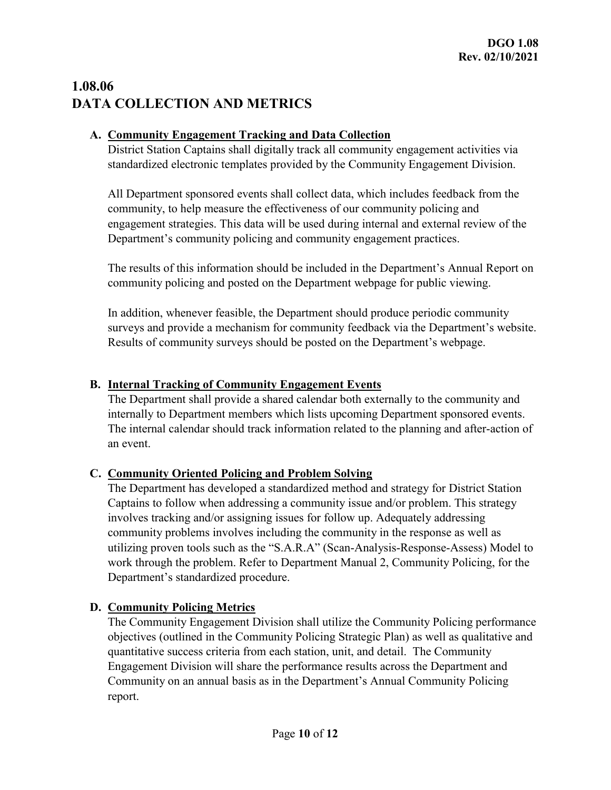# **1.08.06 DATA COLLECTION AND METRICS**

## **A. Community Engagement Tracking and Data Collection**

District Station Captains shall digitally track all community engagement activities via standardized electronic templates provided by the Community Engagement Division.

All Department sponsored events shall collect data, which includes feedback from the community, to help measure the effectiveness of our community policing and engagement strategies. This data will be used during internal and external review of the Department's community policing and community engagement practices.

The results of this information should be included in the Department's Annual Report on community policing and posted on the Department webpage for public viewing.

In addition, whenever feasible, the Department should produce periodic community surveys and provide a mechanism for community feedback via the Department's website. Results of community surveys should be posted on the Department's webpage.

## **B. Internal Tracking of Community Engagement Events**

The Department shall provide a shared calendar both externally to the community and internally to Department members which lists upcoming Department sponsored events. The internal calendar should track information related to the planning and after-action of an event.

## **C. Community Oriented Policing and Problem Solving**

The Department has developed a standardized method and strategy for District Station Captains to follow when addressing a community issue and/or problem. This strategy involves tracking and/or assigning issues for follow up. Adequately addressing community problems involves including the community in the response as well as utilizing proven tools such as the "S.A.R.A" (Scan-Analysis-Response-Assess) Model to work through the problem. Refer to Department Manual 2, Community Policing, for the Department's standardized procedure.

## **D. Community Policing Metrics**

The Community Engagement Division shall utilize the Community Policing performance objectives (outlined in the Community Policing Strategic Plan) as well as qualitative and quantitative success criteria from each station, unit, and detail. The Community Engagement Division will share the performance results across the Department and Community on an annual basis as in the Department's Annual Community Policing report.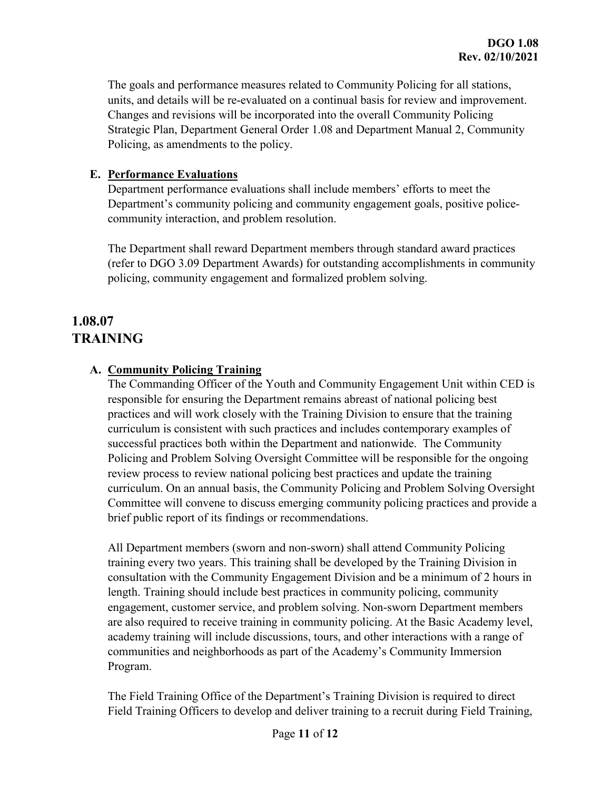The goals and performance measures related to Community Policing for all stations, units, and details will be re-evaluated on a continual basis for review and improvement. Changes and revisions will be incorporated into the overall Community Policing Strategic Plan, Department General Order 1.08 and Department Manual 2, Community Policing, as amendments to the policy.

### **E. Performance Evaluations**

Department performance evaluations shall include members' efforts to meet the Department's community policing and community engagement goals, positive policecommunity interaction, and problem resolution.

The Department shall reward Department members through standard award practices (refer to DGO 3.09 Department Awards) for outstanding accomplishments in community policing, community engagement and formalized problem solving.

## **1.08.07 TRAINING**

## **A. Community Policing Training**

The Commanding Officer of the Youth and Community Engagement Unit within CED is responsible for ensuring the Department remains abreast of national policing best practices and will work closely with the Training Division to ensure that the training curriculum is consistent with such practices and includes contemporary examples of successful practices both within the Department and nationwide. The Community Policing and Problem Solving Oversight Committee will be responsible for the ongoing review process to review national policing best practices and update the training curriculum. On an annual basis, the Community Policing and Problem Solving Oversight Committee will convene to discuss emerging community policing practices and provide a brief public report of its findings or recommendations.

All Department members (sworn and non-sworn) shall attend Community Policing training every two years. This training shall be developed by the Training Division in consultation with the Community Engagement Division and be a minimum of 2 hours in length. Training should include best practices in community policing, community engagement, customer service, and problem solving. Non-sworn Department members are also required to receive training in community policing. At the Basic Academy level, academy training will include discussions, tours, and other interactions with a range of communities and neighborhoods as part of the Academy's Community Immersion Program.

The Field Training Office of the Department's Training Division is required to direct Field Training Officers to develop and deliver training to a recruit during Field Training,